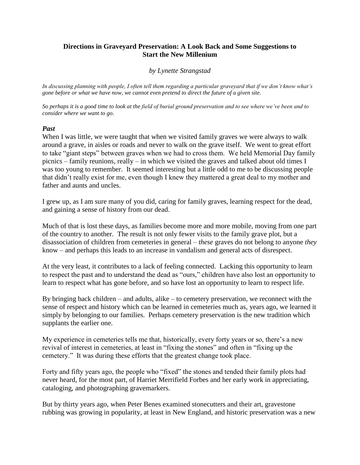## **Directions in Graveyard Preservation: A Look Back and Some Suggestions to Start the New Millenium**

### *by Lynette Strangstad*

*In discussing planning with people, I often tell them regarding a particular graveyard that if we don't know what's gone before or what we have now, we cannot even pretend to direct the future of a given site.* 

*So perhaps it is a good time to look at the field of burial ground preservation and to see where we've been and to consider where we want to go.*

#### *Past*

When I was little, we were taught that when we visited family graves we were always to walk around a grave, in aisles or roads and never to walk on the grave itself. We went to great effort to take "giant steps" between graves when we had to cross them. We held Memorial Day family picnics – family reunions, really – in which we visited the graves and talked about old times I was too young to remember. It seemed interesting but a little odd to me to be discussing people that didn't really exist for me, even though I knew they mattered a great deal to my mother and father and aunts and uncles.

I grew up, as I am sure many of you did, caring for family graves, learning respect for the dead, and gaining a sense of history from our dead.

Much of that is lost these days, as families become more and more mobile, moving from one part of the country to another. The result is not only fewer visits to the family grave plot, but a disassociation of children from cemeteries in general – *these* graves do not belong to anyone *they* know – and perhaps this leads to an increase in vandalism and general acts of disrespect.

At the very least, it contributes to a lack of feeling connected. Lacking this opportunity to learn to respect the past and to understand the dead as "ours," children have also lost an opportunity to learn to respect what has gone before, and so have lost an opportunity to learn to respect life.

By bringing back children – and adults, alike – to cemetery preservation, we reconnect with the sense of respect and history which can be learned in cemeteries much as, years ago, we learned it simply by belonging to our families. Perhaps cemetery preservation is the new tradition which supplants the earlier one.

My experience in cemeteries tells me that, historically, every forty years or so, there's a new revival of interest in cemeteries, at least in "fixing the stones" and often in "fixing up the cemetery." It was during these efforts that the greatest change took place.

Forty and fifty years ago, the people who "fixed" the stones and tended their family plots had never heard, for the most part, of Harriet Merrifield Forbes and her early work in appreciating, cataloging, and photographing gravemarkers.

But by thirty years ago, when Peter Benes examined stonecutters and their art, gravestone rubbing was growing in popularity, at least in New England, and historic preservation was a new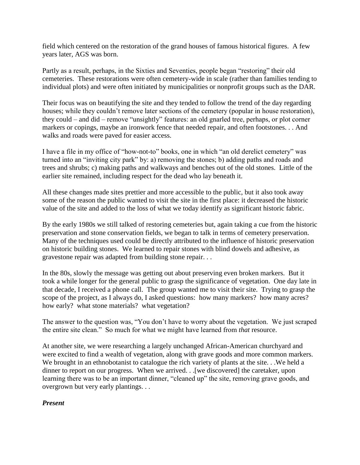field which centered on the restoration of the grand houses of famous historical figures. A few years later, AGS was born.

Partly as a result, perhaps, in the Sixties and Seventies, people began "restoring" their old cemeteries. These restorations were often cemetery-wide in scale (rather than families tending to individual plots) and were often initiated by municipalities or nonprofit groups such as the DAR.

Their focus was on beautifying the site and they tended to follow the trend of the day regarding houses; while they couldn't remove later sections of the cemetery (popular in house restoration), they could – and did – remove "unsightly" features: an old gnarled tree, perhaps, or plot corner markers or copings, maybe an ironwork fence that needed repair, and often footstones. . . And walks and roads were paved for easier access.

I have a file in my office of "how-not-to" books, one in which "an old derelict cemetery" was turned into an "inviting city park" by: a) removing the stones; b) adding paths and roads and trees and shrubs; c) making paths and walkways and benches out of the old stones. Little of the earlier site remained, including respect for the dead who lay beneath it.

All these changes made sites prettier and more accessible to the public, but it also took away some of the reason the public wanted to visit the site in the first place: it decreased the historic value of the site and added to the loss of what we today identify as significant historic fabric.

By the early 1980s we still talked of restoring cemeteries but, again taking a cue from the historic preservation and stone conservation fields, we began to talk in terms of cemetery preservation. Many of the techniques used could be directly attributed to the influence of historic preservation on historic building stones. We learned to repair stones with blind dowels and adhesive, as gravestone repair was adapted from building stone repair. . .

In the 80s, slowly the message was getting out about preserving even broken markers. But it took a while longer for the general public to grasp the significance of vegetation. One day late in that decade, I received a phone call. The group wanted me to visit their site. Trying to grasp the scope of the project, as I always do, I asked questions: how many markers? how many acres? how early? what stone materials? what vegetation?

The answer to the question was, "You don't have to worry about the vegetation. We just scraped the entire site clean." So much for what we might have learned from *that* resource.

At another site, we were researching a largely unchanged African-American churchyard and were excited to find a wealth of vegetation, along with grave goods and more common markers. We brought in an ethnobotanist to catalogue the rich variety of plants at the site. . We held a dinner to report on our progress. When we arrived. . .[we discovered] the caretaker, upon learning there was to be an important dinner, "cleaned up" the site, removing grave goods, and overgrown but very early plantings. . .

# *Present*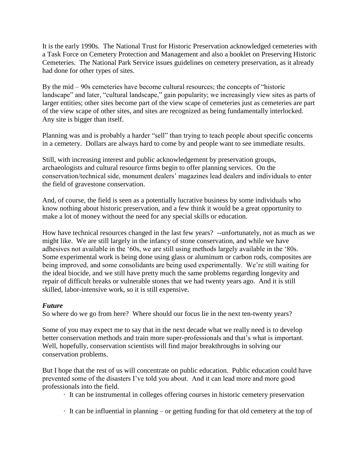It is the early 1990s. The National Trust for Historic Preservation acknowledged cemeteries with a Task Force on Cemetery Protection and Management and also a booklet on Preserving Historic Cemeteries. The National Park Service issues guidelines on cemetery preservation, as it already had done for other types of sites.

By the mid – 90s cemeteries have become cultural resources; the concepts of "historic landscape" and later, "cultural landscape," gain popularity; we increasingly view sites as parts of larger entities; other sites become part of the view scape of cemeteries just as cemeteries are part of the view scape of other sites, and sites are recognized as being fundamentally interlocked. Any site is bigger than itself.

Planning was and is probably a harder "sell" than trying to teach people about specific concerns in a cemetery. Dollars are always hard to come by and people want to see immediate results.

Still, with increasing interest and public acknowledgement by preservation groups, archaeologists and cultural resource firms begin to offer planning services. On the conservation/technical side, monument dealers' magazines lead dealers and individuals to enter the field of gravestone conservation.

And, of course, the field is seen as a potentially lucrative business by some individuals who know nothing about historic preservation, and a few think it would be a great opportunity to make a lot of money without the need for any special skills or education.

How have technical resources changed in the last few years? --unfortunately, not as much as we might like. We are still largely in the infancy of stone conservation, and while we have adhesives not available in the '60s, we are still using methods largely available in the '80s. Some experimental work is being done using glass or aluminum or carbon rods, composites are being improved, and some consolidants are being used experimentally. We're still waiting for the ideal biocide, and we still have pretty much the same problems regarding longevity and repair of difficult breaks or vulnerable stones that we had twenty years ago. And it is still skilled, labor-intensive work, so it is still expensive.

## *Future*

So where do we go from here? Where should our focus lie in the next ten-twenty years?

Some of you may expect me to say that in the next decade what we really need is to develop better conservation methods and train more super-professionals and that's what is important. Well, hopefully, conservation scientists will find major breakthroughs in solving our conservation problems.

But I hope that the rest of us will concentrate on public education. Public education could have prevented some of the disasters I've told you about. And it can lead more and more good professionals into the field.

· It can be instrumental in colleges offering courses in historic cemetery preservation

· It can be influential in planning – or getting funding for that old cemetery at the top of